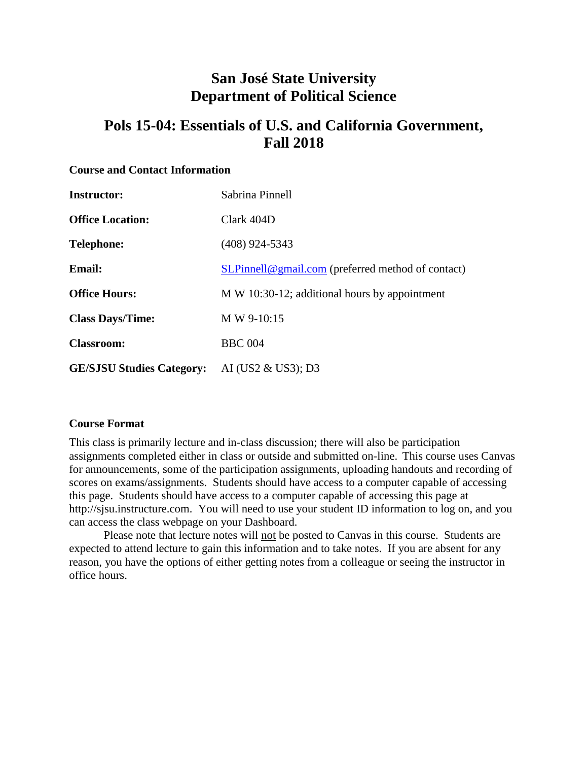# **San José State University Department of Political Science**

# **Pols 15-04: Essentials of U.S. and California Government, Fall 2018**

#### **Course and Contact Information**

| <b>Instructor:</b>               | Sabrina Pinnell                                   |
|----------------------------------|---------------------------------------------------|
| <b>Office Location:</b>          | Clark 404D                                        |
| <b>Telephone:</b>                | $(408)$ 924-5343                                  |
| <b>Email:</b>                    | SLPinnell@gmail.com (preferred method of contact) |
| <b>Office Hours:</b>             | M W 10:30-12; additional hours by appointment     |
| <b>Class Days/Time:</b>          | M W 9-10:15                                       |
| <b>Classroom:</b>                | <b>BBC</b> 004                                    |
| <b>GE/SJSU Studies Category:</b> | AI (US2 & US3); D3                                |

#### **Course Format**

This class is primarily lecture and in-class discussion; there will also be participation assignments completed either in class or outside and submitted on-line. This course uses Canvas for announcements, some of the participation assignments, uploading handouts and recording of scores on exams/assignments. Students should have access to a computer capable of accessing this page. Students should have access to a computer capable of accessing this page at http://sjsu.instructure.com. You will need to use your student ID information to log on, and you can access the class webpage on your Dashboard.

Please note that lecture notes will not be posted to Canvas in this course. Students are expected to attend lecture to gain this information and to take notes. If you are absent for any reason, you have the options of either getting notes from a colleague or seeing the instructor in office hours.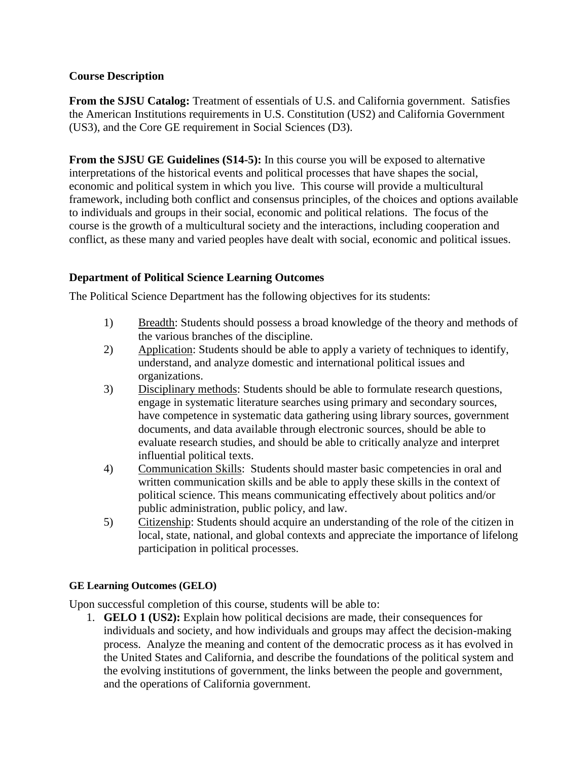# **Course Description**

**From the SJSU Catalog:** Treatment of essentials of U.S. and California government. Satisfies the American Institutions requirements in U.S. Constitution (US2) and California Government (US3), and the Core GE requirement in Social Sciences (D3).

**From the SJSU GE Guidelines (S14-5):** In this course you will be exposed to alternative interpretations of the historical events and political processes that have shapes the social, economic and political system in which you live. This course will provide a multicultural framework, including both conflict and consensus principles, of the choices and options available to individuals and groups in their social, economic and political relations. The focus of the course is the growth of a multicultural society and the interactions, including cooperation and conflict, as these many and varied peoples have dealt with social, economic and political issues.

# **Department of Political Science Learning Outcomes**

The Political Science Department has the following objectives for its students:

- 1) Breadth: Students should possess a broad knowledge of the theory and methods of the various branches of the discipline.
- 2) Application: Students should be able to apply a variety of techniques to identify, understand, and analyze domestic and international political issues and organizations.
- 3) Disciplinary methods: Students should be able to formulate research questions, engage in systematic literature searches using primary and secondary sources, have competence in systematic data gathering using library sources, government documents, and data available through electronic sources, should be able to evaluate research studies, and should be able to critically analyze and interpret influential political texts.
- 4) Communication Skills: Students should master basic competencies in oral and written communication skills and be able to apply these skills in the context of political science. This means communicating effectively about politics and/or public administration, public policy, and law.
- 5) Citizenship: Students should acquire an understanding of the role of the citizen in local, state, national, and global contexts and appreciate the importance of lifelong participation in political processes.

#### **GE Learning Outcomes (GELO)**

Upon successful completion of this course, students will be able to:

1. **GELO 1 (US2):** Explain how political decisions are made, their consequences for individuals and society, and how individuals and groups may affect the decision-making process. Analyze the meaning and content of the democratic process as it has evolved in the United States and California, and describe the foundations of the political system and the evolving institutions of government, the links between the people and government, and the operations of California government.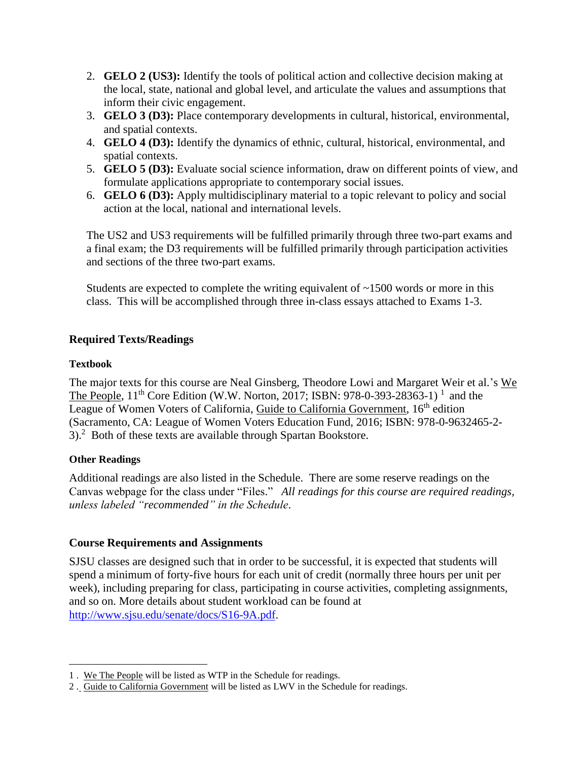- 2. **GELO 2 (US3):** Identify the tools of political action and collective decision making at the local, state, national and global level, and articulate the values and assumptions that inform their civic engagement.
- 3. **GELO 3 (D3):** Place contemporary developments in cultural, historical, environmental, and spatial contexts.
- 4. **GELO 4 (D3):** Identify the dynamics of ethnic, cultural, historical, environmental, and spatial contexts.
- 5. **GELO 5 (D3):** Evaluate social science information, draw on different points of view, and formulate applications appropriate to contemporary social issues.
- 6. **GELO 6 (D3):** Apply multidisciplinary material to a topic relevant to policy and social action at the local, national and international levels.

The US2 and US3 requirements will be fulfilled primarily through three two-part exams and a final exam; the D3 requirements will be fulfilled primarily through participation activities and sections of the three two-part exams.

Students are expected to complete the writing equivalent of  $\sim$ 1500 words or more in this class. This will be accomplished through three in-class essays attached to Exams 1-3.

# **Required Texts/Readings**

# **Textbook**

The major texts for this course are Neal Ginsberg, Theodore Lowi and Margaret Weir et al.'s We The People,  $11^{th}$  Core Edition (W.W. Norton, 2017; ISBN: 978-0-393-28363-1)<sup>1</sup> and the League of Women Voters of California, Guide to California Government, 16<sup>th</sup> edition (Sacramento, CA: League of Women Voters Education Fund, 2016; ISBN: 978-0-9632465-2-  $3$ .<sup>2</sup> Both of these texts are available through Spartan Bookstore.

# **Other Readings**

 $\overline{a}$ 

Additional readings are also listed in the Schedule. There are some reserve readings on the Canvas webpage for the class under "Files." *All readings for this course are required readings, unless labeled "recommended" in the Schedule*.

# **Course Requirements and Assignments**

SJSU classes are designed such that in order to be successful, it is expected that students will spend a minimum of forty-five hours for each unit of credit (normally three hours per unit per week), including preparing for class, participating in course activities, completing assignments, and so on. More details about student workload can be found at [http://www.sjsu.edu/senate/docs/S16-9A.pdf.](http://www.sjsu.edu/senate/docs/S16-9A.pdf)

<sup>1</sup> . We The People will be listed as WTP in the Schedule for readings.

<sup>2</sup> . Guide to California Government will be listed as LWV in the Schedule for readings.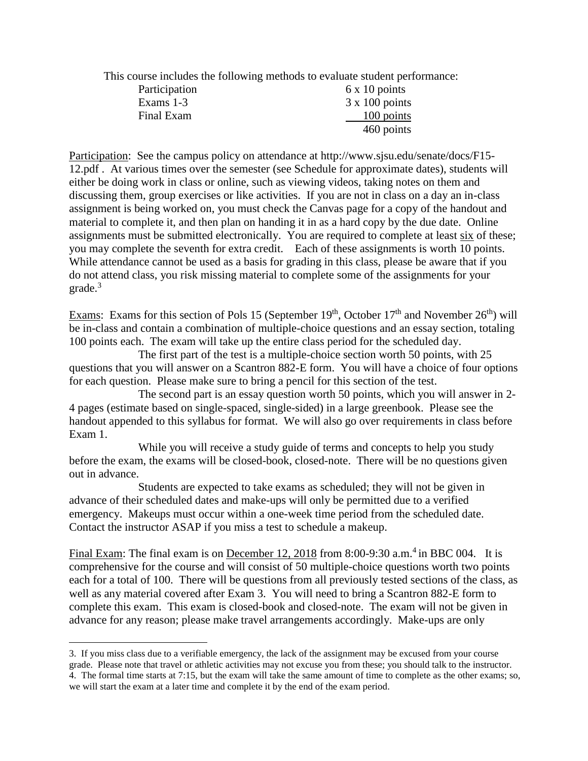This course includes the following methods to evaluate student performance:

| Participation | $6 \times 10$ points  |
|---------------|-----------------------|
| Exams 1-3     | $3 \times 100$ points |
| Final Exam    | 100 points            |
|               | 460 points            |

Participation: See the campus policy on attendance at http://www.sjsu.edu/senate/docs/F15- 12.pdf . At various times over the semester (see Schedule for approximate dates), students will either be doing work in class or online, such as viewing videos, taking notes on them and discussing them, group exercises or like activities. If you are not in class on a day an in-class assignment is being worked on, you must check the Canvas page for a copy of the handout and material to complete it, and then plan on handing it in as a hard copy by the due date. Online assignments must be submitted electronically. You are required to complete at least six of these; you may complete the seventh for extra credit. Each of these assignments is worth 10 points. While attendance cannot be used as a basis for grading in this class, please be aware that if you do not attend class, you risk missing material to complete some of the assignments for your grade.<sup>3</sup>

Exams: Exams for this section of Pols 15 (September  $19<sup>th</sup>$ , October  $17<sup>th</sup>$  and November  $26<sup>th</sup>$ ) will be in-class and contain a combination of multiple-choice questions and an essay section, totaling 100 points each. The exam will take up the entire class period for the scheduled day.

The first part of the test is a multiple-choice section worth 50 points, with 25 questions that you will answer on a Scantron 882-E form. You will have a choice of four options for each question. Please make sure to bring a pencil for this section of the test.

The second part is an essay question worth 50 points, which you will answer in 2- 4 pages (estimate based on single-spaced, single-sided) in a large greenbook. Please see the handout appended to this syllabus for format. We will also go over requirements in class before Exam 1.

While you will receive a study guide of terms and concepts to help you study before the exam, the exams will be closed-book, closed-note. There will be no questions given out in advance.

Students are expected to take exams as scheduled; they will not be given in advance of their scheduled dates and make-ups will only be permitted due to a verified emergency. Makeups must occur within a one-week time period from the scheduled date. Contact the instructor ASAP if you miss a test to schedule a makeup.

Final Exam: The final exam is on December 12, 2018 from 8:00-9:30 a.m.<sup>4</sup> in BBC 004. It is comprehensive for the course and will consist of 50 multiple-choice questions worth two points each for a total of 100. There will be questions from all previously tested sections of the class, as well as any material covered after Exam 3. You will need to bring a Scantron 882-E form to complete this exam. This exam is closed-book and closed-note. The exam will not be given in advance for any reason; please make travel arrangements accordingly. Make-ups are only

 $\overline{a}$ 

<sup>3.</sup> If you miss class due to a verifiable emergency, the lack of the assignment may be excused from your course grade. Please note that travel or athletic activities may not excuse you from these; you should talk to the instructor. 4. The formal time starts at 7:15, but the exam will take the same amount of time to complete as the other exams; so, we will start the exam at a later time and complete it by the end of the exam period.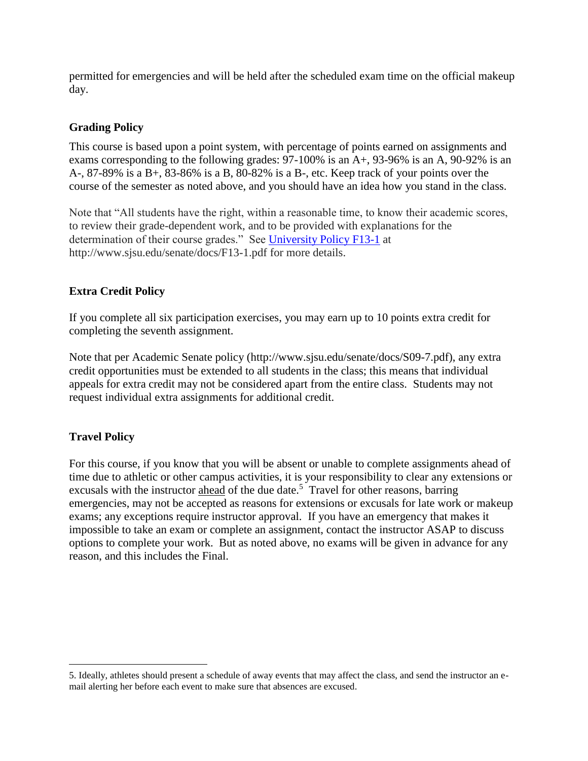permitted for emergencies and will be held after the scheduled exam time on the official makeup day.

# **Grading Policy**

This course is based upon a point system, with percentage of points earned on assignments and exams corresponding to the following grades: 97-100% is an A+, 93-96% is an A, 90-92% is an A-, 87-89% is a B+, 83-86% is a B, 80-82% is a B-, etc. Keep track of your points over the course of the semester as noted above, and you should have an idea how you stand in the class.

Note that "All students have the right, within a reasonable time, to know their academic scores, to review their grade-dependent work, and to be provided with explanations for the determination of their course grades." See [University Policy F13-1](http://www.sjsu.edu/senate/docs/F13-1.pdf) at http://www.sjsu.edu/senate/docs/F13-1.pdf for more details.

# **Extra Credit Policy**

If you complete all six participation exercises, you may earn up to 10 points extra credit for completing the seventh assignment.

Note that per Academic Senate policy (http://www.sjsu.edu/senate/docs/S09-7.pdf), any extra credit opportunities must be extended to all students in the class; this means that individual appeals for extra credit may not be considered apart from the entire class. Students may not request individual extra assignments for additional credit.

# **Travel Policy**

 $\overline{a}$ 

For this course, if you know that you will be absent or unable to complete assignments ahead of time due to athletic or other campus activities, it is your responsibility to clear any extensions or excusals with the instructor ahead of the due date.<sup>5</sup> Travel for other reasons, barring emergencies, may not be accepted as reasons for extensions or excusals for late work or makeup exams; any exceptions require instructor approval. If you have an emergency that makes it impossible to take an exam or complete an assignment, contact the instructor ASAP to discuss options to complete your work. But as noted above, no exams will be given in advance for any reason, and this includes the Final.

<sup>5.</sup> Ideally, athletes should present a schedule of away events that may affect the class, and send the instructor an email alerting her before each event to make sure that absences are excused.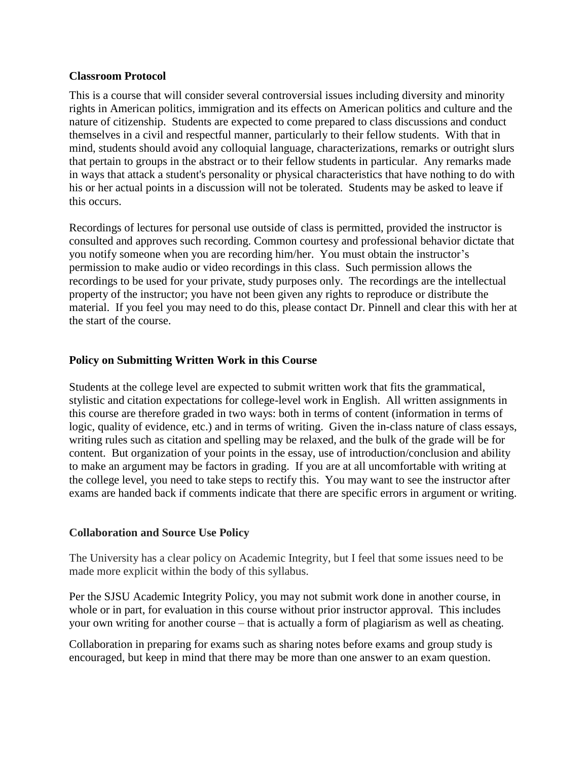#### **Classroom Protocol**

This is a course that will consider several controversial issues including diversity and minority rights in American politics, immigration and its effects on American politics and culture and the nature of citizenship. Students are expected to come prepared to class discussions and conduct themselves in a civil and respectful manner, particularly to their fellow students. With that in mind, students should avoid any colloquial language, characterizations, remarks or outright slurs that pertain to groups in the abstract or to their fellow students in particular. Any remarks made in ways that attack a student's personality or physical characteristics that have nothing to do with his or her actual points in a discussion will not be tolerated. Students may be asked to leave if this occurs.

Recordings of lectures for personal use outside of class is permitted, provided the instructor is consulted and approves such recording. Common courtesy and professional behavior dictate that you notify someone when you are recording him/her. You must obtain the instructor's permission to make audio or video recordings in this class. Such permission allows the recordings to be used for your private, study purposes only. The recordings are the intellectual property of the instructor; you have not been given any rights to reproduce or distribute the material. If you feel you may need to do this, please contact Dr. Pinnell and clear this with her at the start of the course.

## **Policy on Submitting Written Work in this Course**

Students at the college level are expected to submit written work that fits the grammatical, stylistic and citation expectations for college-level work in English. All written assignments in this course are therefore graded in two ways: both in terms of content (information in terms of logic, quality of evidence, etc.) and in terms of writing. Given the in-class nature of class essays, writing rules such as citation and spelling may be relaxed, and the bulk of the grade will be for content. But organization of your points in the essay, use of introduction/conclusion and ability to make an argument may be factors in grading. If you are at all uncomfortable with writing at the college level, you need to take steps to rectify this. You may want to see the instructor after exams are handed back if comments indicate that there are specific errors in argument or writing.

#### **Collaboration and Source Use Policy**

The University has a clear policy on Academic Integrity, but I feel that some issues need to be made more explicit within the body of this syllabus.

Per the SJSU Academic Integrity Policy, you may not submit work done in another course, in whole or in part, for evaluation in this course without prior instructor approval. This includes your own writing for another course – that is actually a form of plagiarism as well as cheating.

Collaboration in preparing for exams such as sharing notes before exams and group study is encouraged, but keep in mind that there may be more than one answer to an exam question.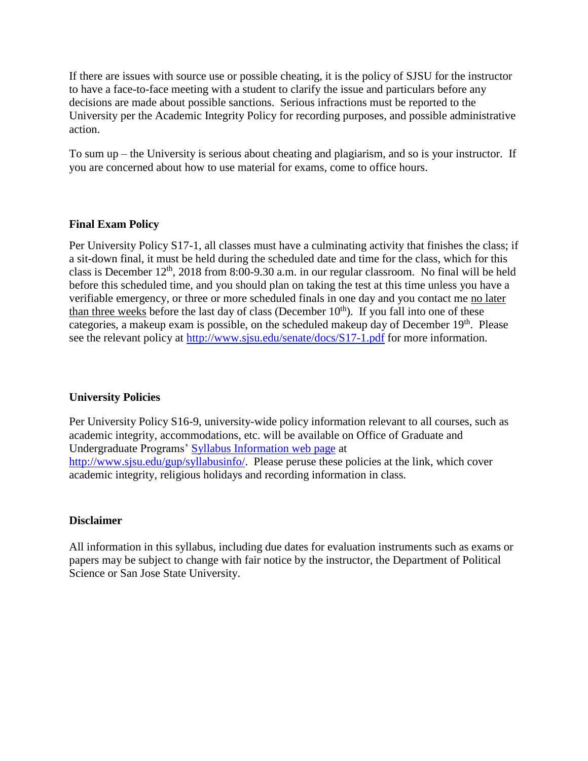If there are issues with source use or possible cheating, it is the policy of SJSU for the instructor to have a face-to-face meeting with a student to clarify the issue and particulars before any decisions are made about possible sanctions. Serious infractions must be reported to the University per the Academic Integrity Policy for recording purposes, and possible administrative action.

To sum up – the University is serious about cheating and plagiarism, and so is your instructor. If you are concerned about how to use material for exams, come to office hours.

## **Final Exam Policy**

Per University Policy S17-1, all classes must have a culminating activity that finishes the class; if a sit-down final, it must be held during the scheduled date and time for the class, which for this class is December  $12<sup>th</sup>$ , 2018 from 8:00-9.30 a.m. in our regular classroom. No final will be held before this scheduled time, and you should plan on taking the test at this time unless you have a verifiable emergency, or three or more scheduled finals in one day and you contact me no later than three weeks before the last day of class (December  $10<sup>th</sup>$ ). If you fall into one of these categories, a makeup exam is possible, on the scheduled makeup day of December 19<sup>th</sup>. Please see the relevant policy at<http://www.sjsu.edu/senate/docs/S17-1.pdf> for more information.

#### **University Policies**

Per University Policy S16-9, university-wide policy information relevant to all courses, such as academic integrity, accommodations, etc. will be available on Office of Graduate and Undergraduate Programs' [Syllabus Information web page](http://www.sjsu.edu/gup/syllabusinfo/) at [http://www.sjsu.edu/gup/syllabusinfo/.](http://www.sjsu.edu/gup/syllabusinfo/) Please peruse these policies at the link, which cover academic integrity, religious holidays and recording information in class.

#### **Disclaimer**

All information in this syllabus, including due dates for evaluation instruments such as exams or papers may be subject to change with fair notice by the instructor, the Department of Political Science or San Jose State University.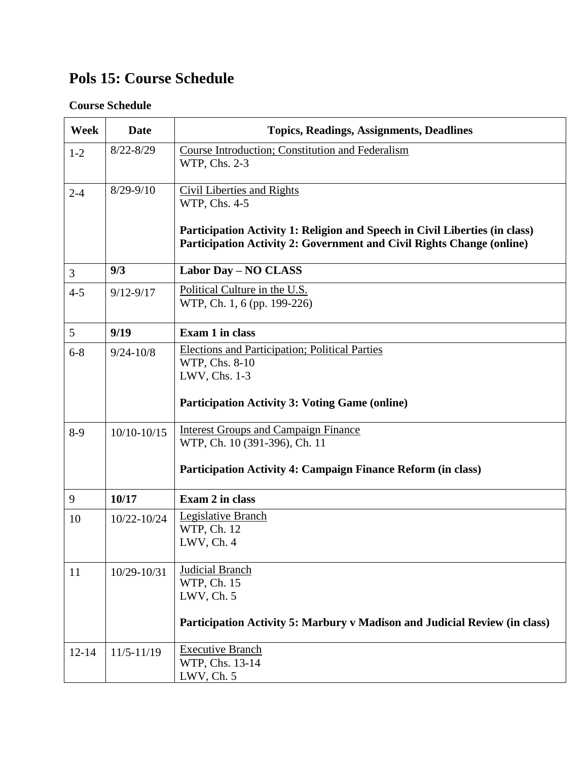# **Pols 15: Course Schedule**

# **Course Schedule**

| Week      | <b>Date</b>     | <b>Topics, Readings, Assignments, Deadlines</b>                                                                                                                                                            |
|-----------|-----------------|------------------------------------------------------------------------------------------------------------------------------------------------------------------------------------------------------------|
| $1 - 2$   | $8/22 - 8/29$   | Course Introduction; Constitution and Federalism<br>WTP, Chs. 2-3                                                                                                                                          |
| $2 - 4$   | $8/29 - 9/10$   | <b>Civil Liberties and Rights</b><br>WTP, Chs. 4-5<br>Participation Activity 1: Religion and Speech in Civil Liberties (in class)<br>Participation Activity 2: Government and Civil Rights Change (online) |
| 3         | 9/3             | Labor Day - NO CLASS                                                                                                                                                                                       |
| $4 - 5$   | $9/12 - 9/17$   | Political Culture in the U.S.<br>WTP, Ch. 1, 6 (pp. 199-226)                                                                                                                                               |
| 5         | 9/19            | Exam 1 in class                                                                                                                                                                                            |
| $6 - 8$   | $9/24 - 10/8$   | <b>Elections and Participation; Political Parties</b><br>WTP, Chs. 8-10<br>LWV, Chs. 1-3<br><b>Participation Activity 3: Voting Game (online)</b>                                                          |
| $8-9$     | $10/10 - 10/15$ | <b>Interest Groups and Campaign Finance</b><br>WTP, Ch. 10 (391-396), Ch. 11<br>Participation Activity 4: Campaign Finance Reform (in class)                                                               |
| 9         | 10/17           | Exam 2 in class                                                                                                                                                                                            |
| 10        | $10/22 - 10/24$ | <b>Legislative Branch</b><br>WTP, Ch. 12<br>LWV, Ch. 4                                                                                                                                                     |
| 11        | 10/29-10/31     | Judicial Branch<br>WTP, Ch. 15<br>LWV, Ch. 5<br>Participation Activity 5: Marbury v Madison and Judicial Review (in class)                                                                                 |
| $12 - 14$ | $11/5 - 11/19$  | <b>Executive Branch</b><br>WTP, Chs. 13-14<br>LWV, Ch. 5                                                                                                                                                   |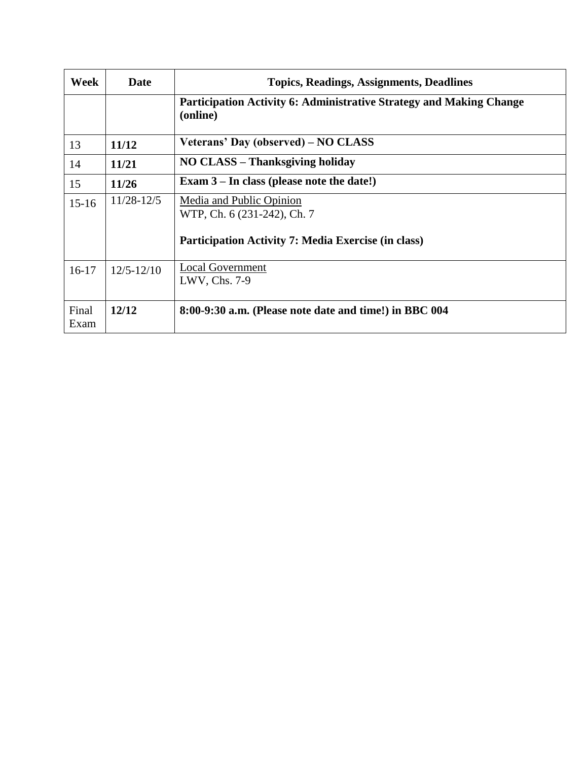| Week          | Date           | <b>Topics, Readings, Assignments, Deadlines</b>                                                                       |
|---------------|----------------|-----------------------------------------------------------------------------------------------------------------------|
|               |                | <b>Participation Activity 6: Administrative Strategy and Making Change</b><br>(online)                                |
| 13            | 11/12          | Veterans' Day (observed) – NO CLASS                                                                                   |
| 14            | 11/21          | NO CLASS - Thanksgiving holiday                                                                                       |
| 15            | 11/26          | Exam $3$ – In class (please note the date!)                                                                           |
| $15-16$       | $11/28 - 12/5$ | Media and Public Opinion<br>WTP, Ch. 6 (231-242), Ch. 7<br><b>Participation Activity 7: Media Exercise (in class)</b> |
| $16-17$       | $12/5 - 12/10$ | <b>Local Government</b><br>LWV, Chs. 7-9                                                                              |
| Final<br>Exam | 12/12          | 8:00-9:30 a.m. (Please note date and time!) in BBC 004                                                                |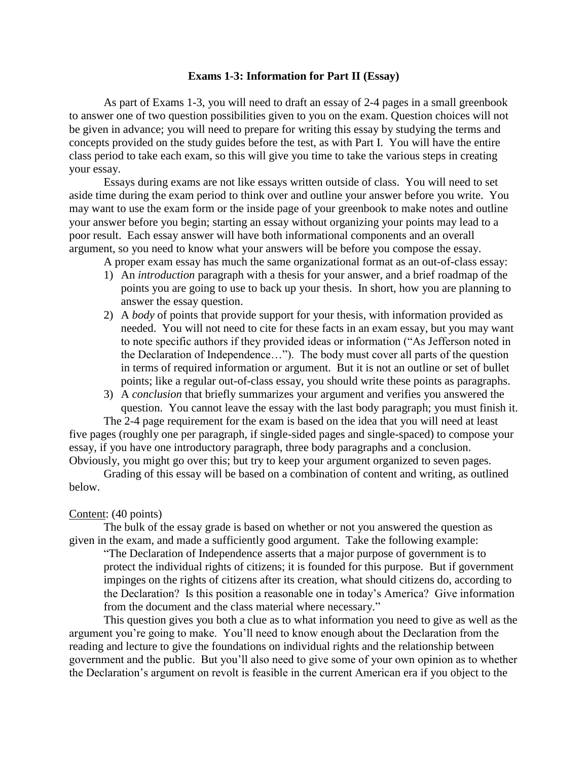#### **Exams 1-3: Information for Part II (Essay)**

As part of Exams 1-3, you will need to draft an essay of 2-4 pages in a small greenbook to answer one of two question possibilities given to you on the exam. Question choices will not be given in advance; you will need to prepare for writing this essay by studying the terms and concepts provided on the study guides before the test, as with Part I. You will have the entire class period to take each exam, so this will give you time to take the various steps in creating your essay.

Essays during exams are not like essays written outside of class. You will need to set aside time during the exam period to think over and outline your answer before you write. You may want to use the exam form or the inside page of your greenbook to make notes and outline your answer before you begin; starting an essay without organizing your points may lead to a poor result. Each essay answer will have both informational components and an overall argument, so you need to know what your answers will be before you compose the essay.

A proper exam essay has much the same organizational format as an out-of-class essay:

- 1) An *introduction* paragraph with a thesis for your answer, and a brief roadmap of the points you are going to use to back up your thesis. In short, how you are planning to answer the essay question.
- 2) A *body* of points that provide support for your thesis, with information provided as needed. You will not need to cite for these facts in an exam essay, but you may want to note specific authors if they provided ideas or information ("As Jefferson noted in the Declaration of Independence…"). The body must cover all parts of the question in terms of required information or argument. But it is not an outline or set of bullet points; like a regular out-of-class essay, you should write these points as paragraphs.
- 3) A *conclusion* that briefly summarizes your argument and verifies you answered the question. You cannot leave the essay with the last body paragraph; you must finish it.

The 2-4 page requirement for the exam is based on the idea that you will need at least five pages (roughly one per paragraph, if single-sided pages and single-spaced) to compose your essay, if you have one introductory paragraph, three body paragraphs and a conclusion. Obviously, you might go over this; but try to keep your argument organized to seven pages.

Grading of this essay will be based on a combination of content and writing, as outlined below.

#### Content: (40 points)

The bulk of the essay grade is based on whether or not you answered the question as given in the exam, and made a sufficiently good argument. Take the following example:

"The Declaration of Independence asserts that a major purpose of government is to protect the individual rights of citizens; it is founded for this purpose. But if government impinges on the rights of citizens after its creation, what should citizens do, according to the Declaration? Is this position a reasonable one in today's America? Give information from the document and the class material where necessary."

This question gives you both a clue as to what information you need to give as well as the argument you're going to make. You'll need to know enough about the Declaration from the reading and lecture to give the foundations on individual rights and the relationship between government and the public. But you'll also need to give some of your own opinion as to whether the Declaration's argument on revolt is feasible in the current American era if you object to the